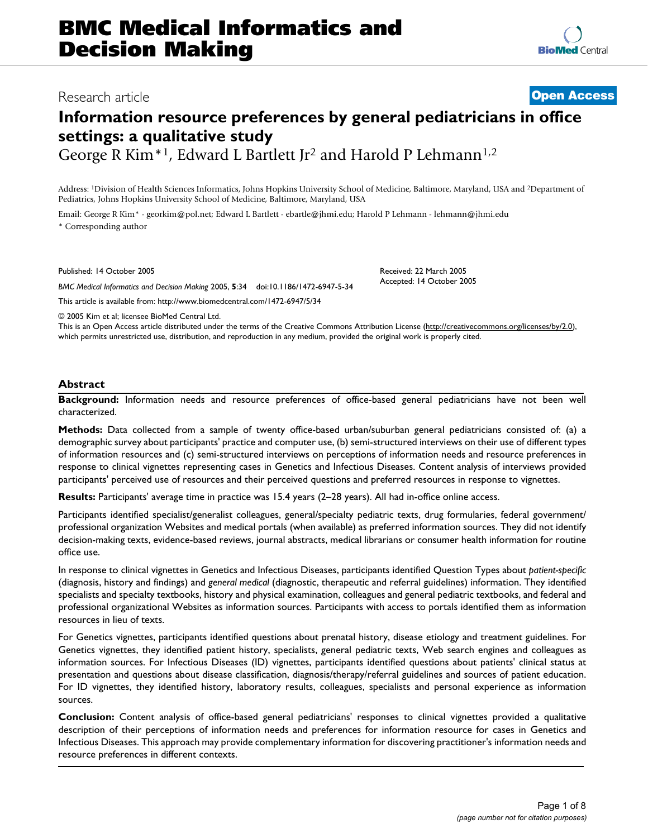# Research article **[Open Access](http://www.biomedcentral.com/info/about/charter/)**

# **Information resource preferences by general pediatricians in office settings: a qualitative study**

George R Kim<sup>\*1</sup>, Edward L Bartlett Jr<sup>2</sup> and Harold P Lehmann<sup>1,2</sup>

Address: 1Division of Health Sciences Informatics, Johns Hopkins University School of Medicine, Baltimore, Maryland, USA and 2Department of Pediatrics, Johns Hopkins University School of Medicine, Baltimore, Maryland, USA

Email: George R Kim\* - georkim@pol.net; Edward L Bartlett - ebartle@jhmi.edu; Harold P Lehmann - lehmann@jhmi.edu \* Corresponding author

Published: 14 October 2005

*BMC Medical Informatics and Decision Making* 2005, **5**:34 doi:10.1186/1472-6947-5-34

[This article is available from: http://www.biomedcentral.com/1472-6947/5/34](http://www.biomedcentral.com/1472-6947/5/34)

Received: 22 March 2005 Accepted: 14 October 2005

© 2005 Kim et al; licensee BioMed Central Ltd.

This is an Open Access article distributed under the terms of the Creative Commons Attribution License [\(http://creativecommons.org/licenses/by/2.0\)](http://creativecommons.org/licenses/by/2.0), which permits unrestricted use, distribution, and reproduction in any medium, provided the original work is properly cited.

#### **Abstract**

**Background:** Information needs and resource preferences of office-based general pediatricians have not been well characterized.

**Methods:** Data collected from a sample of twenty office-based urban/suburban general pediatricians consisted of: (a) a demographic survey about participants' practice and computer use, (b) semi-structured interviews on their use of different types of information resources and (c) semi-structured interviews on perceptions of information needs and resource preferences in response to clinical vignettes representing cases in Genetics and Infectious Diseases. Content analysis of interviews provided participants' perceived use of resources and their perceived questions and preferred resources in response to vignettes.

**Results:** Participants' average time in practice was 15.4 years (2–28 years). All had in-office online access.

Participants identified specialist/generalist colleagues, general/specialty pediatric texts, drug formularies, federal government/ professional organization Websites and medical portals (when available) as preferred information sources. They did not identify decision-making texts, evidence-based reviews, journal abstracts, medical librarians or consumer health information for routine office use.

In response to clinical vignettes in Genetics and Infectious Diseases, participants identified Question Types about *patient-specific* (diagnosis, history and findings) and *general medical* (diagnostic, therapeutic and referral guidelines) information. They identified specialists and specialty textbooks, history and physical examination, colleagues and general pediatric textbooks, and federal and professional organizational Websites as information sources. Participants with access to portals identified them as information resources in lieu of texts.

For Genetics vignettes, participants identified questions about prenatal history, disease etiology and treatment guidelines. For Genetics vignettes, they identified patient history, specialists, general pediatric texts, Web search engines and colleagues as information sources. For Infectious Diseases (ID) vignettes, participants identified questions about patients' clinical status at presentation and questions about disease classification, diagnosis/therapy/referral guidelines and sources of patient education. For ID vignettes, they identified history, laboratory results, colleagues, specialists and personal experience as information sources.

**Conclusion:** Content analysis of office-based general pediatricians' responses to clinical vignettes provided a qualitative description of their perceptions of information needs and preferences for information resource for cases in Genetics and Infectious Diseases. This approach may provide complementary information for discovering practitioner's information needs and resource preferences in different contexts.

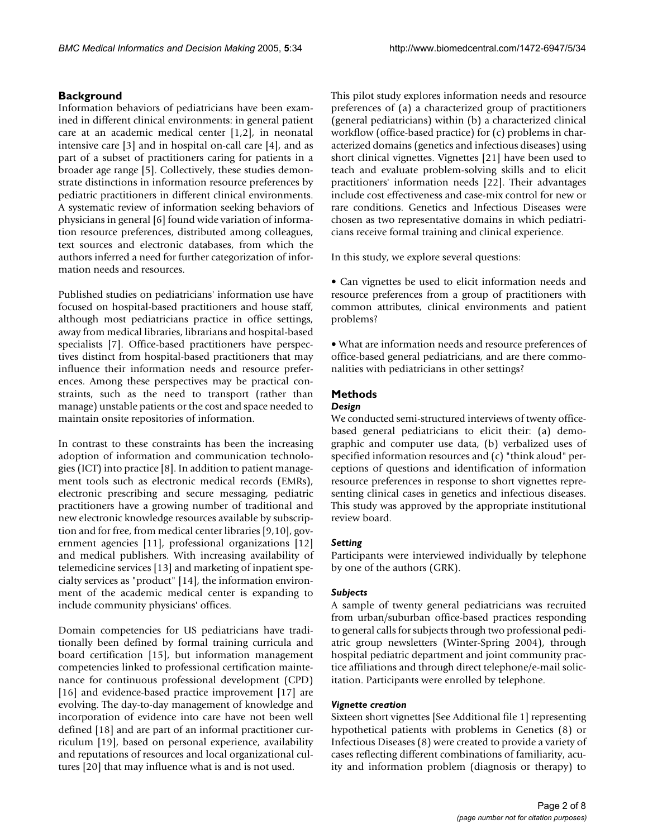# **Background**

Information behaviors of pediatricians have been examined in different clinical environments: in general patient care at an academic medical center [1,2], in neonatal intensive care [3] and in hospital on-call care [4], and as part of a subset of practitioners caring for patients in a broader age range [5]. Collectively, these studies demonstrate distinctions in information resource preferences by pediatric practitioners in different clinical environments. A systematic review of information seeking behaviors of physicians in general [6] found wide variation of information resource preferences, distributed among colleagues, text sources and electronic databases, from which the authors inferred a need for further categorization of information needs and resources.

Published studies on pediatricians' information use have focused on hospital-based practitioners and house staff, although most pediatricians practice in office settings, away from medical libraries, librarians and hospital-based specialists [7]. Office-based practitioners have perspectives distinct from hospital-based practitioners that may influence their information needs and resource preferences. Among these perspectives may be practical constraints, such as the need to transport (rather than manage) unstable patients or the cost and space needed to maintain onsite repositories of information.

In contrast to these constraints has been the increasing adoption of information and communication technologies (ICT) into practice [8]. In addition to patient management tools such as electronic medical records (EMRs), electronic prescribing and secure messaging, pediatric practitioners have a growing number of traditional and new electronic knowledge resources available by subscription and for free, from medical center libraries [9,10], government agencies [11], professional organizations [12] and medical publishers. With increasing availability of telemedicine services [13] and marketing of inpatient specialty services as "product" [14], the information environment of the academic medical center is expanding to include community physicians' offices.

Domain competencies for US pediatricians have traditionally been defined by formal training curricula and board certification [15], but information management competencies linked to professional certification maintenance for continuous professional development (CPD) [16] and evidence-based practice improvement [17] are evolving. The day-to-day management of knowledge and incorporation of evidence into care have not been well defined [18] and are part of an informal practitioner curriculum [19], based on personal experience, availability and reputations of resources and local organizational cultures [20] that may influence what is and is not used.

This pilot study explores information needs and resource preferences of (a) a characterized group of practitioners (general pediatricians) within (b) a characterized clinical workflow (office-based practice) for (c) problems in characterized domains (genetics and infectious diseases) using short clinical vignettes. Vignettes [21] have been used to teach and evaluate problem-solving skills and to elicit practitioners' information needs [22]. Their advantages include cost effectiveness and case-mix control for new or rare conditions. Genetics and Infectious Diseases were chosen as two representative domains in which pediatricians receive formal training and clinical experience.

In this study, we explore several questions:

• Can vignettes be used to elicit information needs and resource preferences from a group of practitioners with common attributes, clinical environments and patient problems?

• What are information needs and resource preferences of office-based general pediatricians, and are there commonalities with pediatricians in other settings?

# **Methods**

#### *Design*

We conducted semi-structured interviews of twenty officebased general pediatricians to elicit their: (a) demographic and computer use data, (b) verbalized uses of specified information resources and (c) "think aloud" perceptions of questions and identification of information resource preferences in response to short vignettes representing clinical cases in genetics and infectious diseases. This study was approved by the appropriate institutional review board.

## *Setting*

Participants were interviewed individually by telephone by one of the authors (GRK).

## *Subjects*

A sample of twenty general pediatricians was recruited from urban/suburban office-based practices responding to general calls for subjects through two professional pediatric group newsletters (Winter-Spring 2004), through hospital pediatric department and joint community practice affiliations and through direct telephone/e-mail solicitation. Participants were enrolled by telephone.

## *Vignette creation*

Sixteen short vignettes [See Additional file 1] representing hypothetical patients with problems in Genetics (8) or Infectious Diseases (8) were created to provide a variety of cases reflecting different combinations of familiarity, acuity and information problem (diagnosis or therapy) to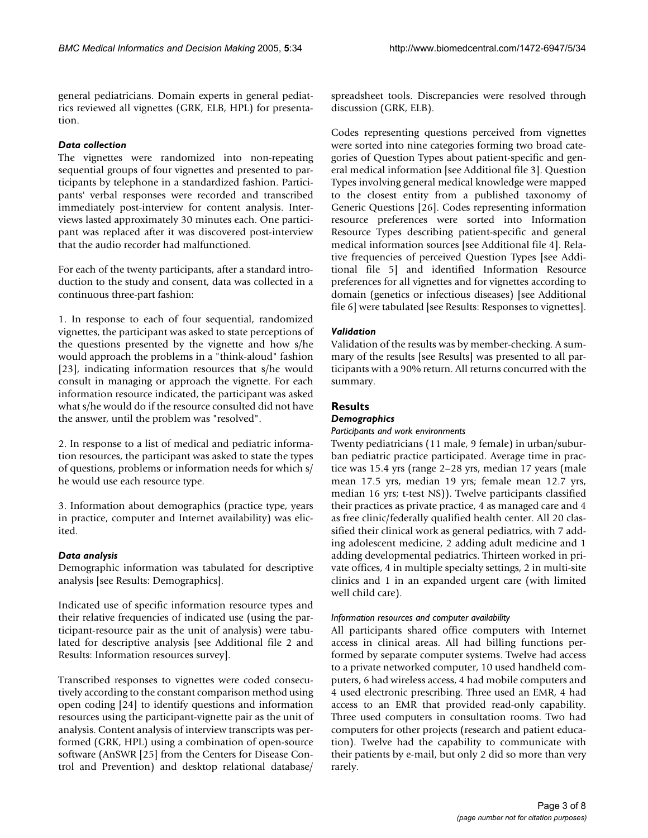general pediatricians. Domain experts in general pediatrics reviewed all vignettes (GRK, ELB, HPL) for presentation.

#### *Data collection*

The vignettes were randomized into non-repeating sequential groups of four vignettes and presented to participants by telephone in a standardized fashion. Participants' verbal responses were recorded and transcribed immediately post-interview for content analysis. Interviews lasted approximately 30 minutes each. One participant was replaced after it was discovered post-interview that the audio recorder had malfunctioned.

For each of the twenty participants, after a standard introduction to the study and consent, data was collected in a continuous three-part fashion:

1. In response to each of four sequential, randomized vignettes, the participant was asked to state perceptions of the questions presented by the vignette and how s/he would approach the problems in a "think-aloud" fashion [23], indicating information resources that s/he would consult in managing or approach the vignette. For each information resource indicated, the participant was asked what s/he would do if the resource consulted did not have the answer, until the problem was "resolved".

2. In response to a list of medical and pediatric information resources, the participant was asked to state the types of questions, problems or information needs for which s/ he would use each resource type.

3. Information about demographics (practice type, years in practice, computer and Internet availability) was elicited.

#### *Data analysis*

Demographic information was tabulated for descriptive analysis [see Results: Demographics].

Indicated use of specific information resource types and their relative frequencies of indicated use (using the participant-resource pair as the unit of analysis) were tabulated for descriptive analysis [see Additional file 2 and Results: Information resources survey].

Transcribed responses to vignettes were coded consecutively according to the constant comparison method using open coding [24] to identify questions and information resources using the participant-vignette pair as the unit of analysis. Content analysis of interview transcripts was performed (GRK, HPL) using a combination of open-source software (AnSWR [25] from the Centers for Disease Control and Prevention) and desktop relational database/ spreadsheet tools. Discrepancies were resolved through discussion (GRK, ELB).

Codes representing questions perceived from vignettes were sorted into nine categories forming two broad categories of Question Types about patient-specific and general medical information [see Additional file 3]. Question Types involving general medical knowledge were mapped to the closest entity from a published taxonomy of Generic Questions [26]. Codes representing information resource preferences were sorted into Information Resource Types describing patient-specific and general medical information sources [see Additional file 4]. Relative frequencies of perceived Question Types [see Additional file 5] and identified Information Resource preferences for all vignettes and for vignettes according to domain (genetics or infectious diseases) [see Additional file 6] were tabulated [see Results: Responses to vignettes].

#### *Validation*

Validation of the results was by member-checking. A summary of the results [see Results] was presented to all participants with a 90% return. All returns concurred with the summary.

#### **Results**

#### *Demographics*

#### *Participants and work environments*

Twenty pediatricians (11 male, 9 female) in urban/suburban pediatric practice participated. Average time in practice was 15.4 yrs (range 2–28 yrs, median 17 years (male mean 17.5 yrs, median 19 yrs; female mean 12.7 yrs, median 16 yrs; t-test NS)). Twelve participants classified their practices as private practice, 4 as managed care and 4 as free clinic/federally qualified health center. All 20 classified their clinical work as general pediatrics, with 7 adding adolescent medicine, 2 adding adult medicine and 1 adding developmental pediatrics. Thirteen worked in private offices, 4 in multiple specialty settings, 2 in multi-site clinics and 1 in an expanded urgent care (with limited well child care).

#### *Information resources and computer availability*

All participants shared office computers with Internet access in clinical areas. All had billing functions performed by separate computer systems. Twelve had access to a private networked computer, 10 used handheld computers, 6 had wireless access, 4 had mobile computers and 4 used electronic prescribing. Three used an EMR, 4 had access to an EMR that provided read-only capability. Three used computers in consultation rooms. Two had computers for other projects (research and patient education). Twelve had the capability to communicate with their patients by e-mail, but only 2 did so more than very rarely.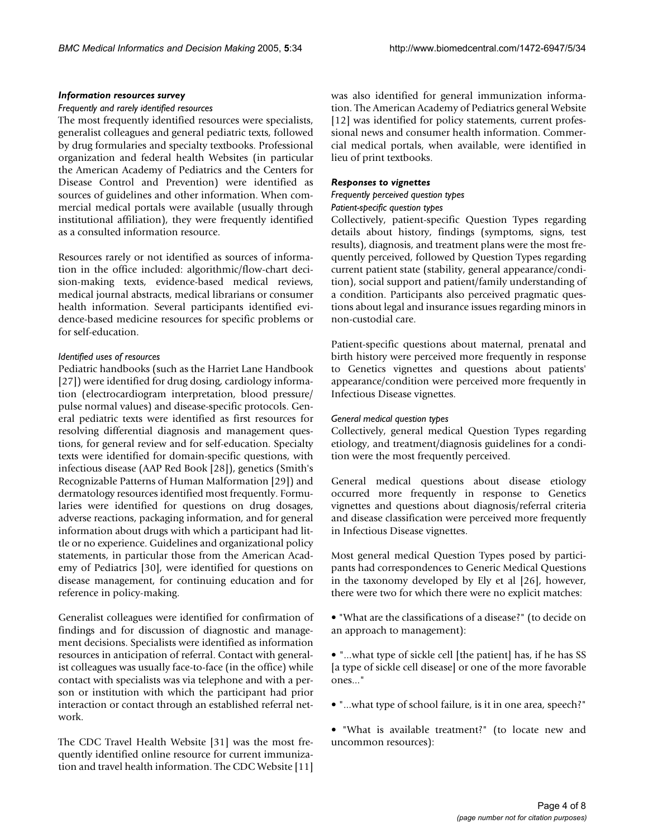#### *Information resources survey*

#### *Frequently and rarely identified resources*

The most frequently identified resources were specialists, generalist colleagues and general pediatric texts, followed by drug formularies and specialty textbooks. Professional organization and federal health Websites (in particular the American Academy of Pediatrics and the Centers for Disease Control and Prevention) were identified as sources of guidelines and other information. When commercial medical portals were available (usually through institutional affiliation), they were frequently identified as a consulted information resource.

Resources rarely or not identified as sources of information in the office included: algorithmic/flow-chart decision-making texts, evidence-based medical reviews, medical journal abstracts, medical librarians or consumer health information. Several participants identified evidence-based medicine resources for specific problems or for self-education.

#### *Identified uses of resources*

Pediatric handbooks (such as the Harriet Lane Handbook [27]) were identified for drug dosing, cardiology information (electrocardiogram interpretation, blood pressure/ pulse normal values) and disease-specific protocols. General pediatric texts were identified as first resources for resolving differential diagnosis and management questions, for general review and for self-education. Specialty texts were identified for domain-specific questions, with infectious disease (AAP Red Book [28]), genetics (Smith's Recognizable Patterns of Human Malformation [29]) and dermatology resources identified most frequently. Formularies were identified for questions on drug dosages, adverse reactions, packaging information, and for general information about drugs with which a participant had little or no experience. Guidelines and organizational policy statements, in particular those from the American Academy of Pediatrics [30], were identified for questions on disease management, for continuing education and for reference in policy-making.

Generalist colleagues were identified for confirmation of findings and for discussion of diagnostic and management decisions. Specialists were identified as information resources in anticipation of referral. Contact with generalist colleagues was usually face-to-face (in the office) while contact with specialists was via telephone and with a person or institution with which the participant had prior interaction or contact through an established referral network.

The CDC Travel Health Website [31] was the most frequently identified online resource for current immunization and travel health information. The CDC Website [11]

was also identified for general immunization information. The American Academy of Pediatrics general Website [12] was identified for policy statements, current professional news and consumer health information. Commercial medical portals, when available, were identified in lieu of print textbooks.

#### *Responses to vignettes*

#### *Frequently perceived question types Patient-specific question types*

Collectively, patient-specific Question Types regarding details about history, findings (symptoms, signs, test results), diagnosis, and treatment plans were the most frequently perceived, followed by Question Types regarding current patient state (stability, general appearance/condition), social support and patient/family understanding of a condition. Participants also perceived pragmatic questions about legal and insurance issues regarding minors in non-custodial care.

Patient-specific questions about maternal, prenatal and birth history were perceived more frequently in response to Genetics vignettes and questions about patients' appearance/condition were perceived more frequently in Infectious Disease vignettes.

#### *General medical question types*

Collectively, general medical Question Types regarding etiology, and treatment/diagnosis guidelines for a condition were the most frequently perceived.

General medical questions about disease etiology occurred more frequently in response to Genetics vignettes and questions about diagnosis/referral criteria and disease classification were perceived more frequently in Infectious Disease vignettes.

Most general medical Question Types posed by participants had correspondences to Generic Medical Questions in the taxonomy developed by Ely et al [26], however, there were two for which there were no explicit matches:

• "What are the classifications of a disease?" (to decide on an approach to management):

• "...what type of sickle cell [the patient] has, if he has SS [a type of sickle cell disease] or one of the more favorable ones..."

- "...what type of school failure, is it in one area, speech?"
- "What is available treatment?" (to locate new and uncommon resources):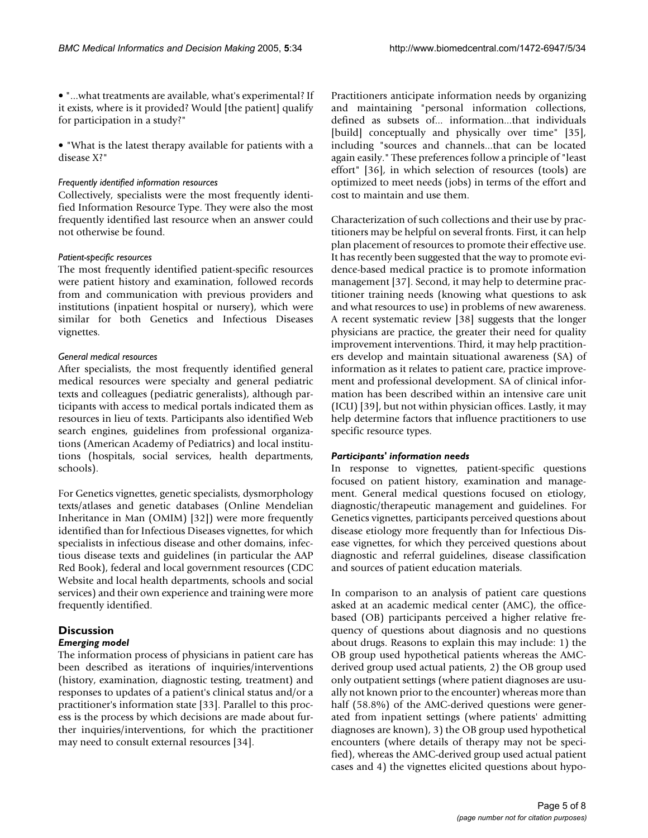• "...what treatments are available, what's experimental? If it exists, where is it provided? Would [the patient] qualify for participation in a study?"

• "What is the latest therapy available for patients with a disease X?"

#### *Frequently identified information resources*

Collectively, specialists were the most frequently identified Information Resource Type. They were also the most frequently identified last resource when an answer could not otherwise be found.

#### *Patient-specific resources*

The most frequently identified patient-specific resources were patient history and examination, followed records from and communication with previous providers and institutions (inpatient hospital or nursery), which were similar for both Genetics and Infectious Diseases vignettes.

#### *General medical resources*

After specialists, the most frequently identified general medical resources were specialty and general pediatric texts and colleagues (pediatric generalists), although participants with access to medical portals indicated them as resources in lieu of texts. Participants also identified Web search engines, guidelines from professional organizations (American Academy of Pediatrics) and local institutions (hospitals, social services, health departments, schools).

For Genetics vignettes, genetic specialists, dysmorphology texts/atlases and genetic databases (Online Mendelian Inheritance in Man (OMIM) [32]) were more frequently identified than for Infectious Diseases vignettes, for which specialists in infectious disease and other domains, infectious disease texts and guidelines (in particular the AAP Red Book), federal and local government resources (CDC Website and local health departments, schools and social services) and their own experience and training were more frequently identified.

# **Discussion**

## *Emerging model*

The information process of physicians in patient care has been described as iterations of inquiries/interventions (history, examination, diagnostic testing, treatment) and responses to updates of a patient's clinical status and/or a practitioner's information state [33]. Parallel to this process is the process by which decisions are made about further inquiries/interventions, for which the practitioner may need to consult external resources [34].

Practitioners anticipate information needs by organizing and maintaining "personal information collections, defined as subsets of... information...that individuals [build] conceptually and physically over time" [35], including "sources and channels...that can be located again easily." These preferences follow a principle of "least effort" [36], in which selection of resources (tools) are optimized to meet needs (jobs) in terms of the effort and cost to maintain and use them.

Characterization of such collections and their use by practitioners may be helpful on several fronts. First, it can help plan placement of resources to promote their effective use. It has recently been suggested that the way to promote evidence-based medical practice is to promote information management [37]. Second, it may help to determine practitioner training needs (knowing what questions to ask and what resources to use) in problems of new awareness. A recent systematic review [38] suggests that the longer physicians are practice, the greater their need for quality improvement interventions. Third, it may help practitioners develop and maintain situational awareness (SA) of information as it relates to patient care, practice improvement and professional development. SA of clinical information has been described within an intensive care unit (ICU) [39], but not within physician offices. Lastly, it may help determine factors that influence practitioners to use specific resource types.

#### *Participants' information needs*

In response to vignettes, patient-specific questions focused on patient history, examination and management. General medical questions focused on etiology, diagnostic/therapeutic management and guidelines. For Genetics vignettes, participants perceived questions about disease etiology more frequently than for Infectious Disease vignettes, for which they perceived questions about diagnostic and referral guidelines, disease classification and sources of patient education materials.

In comparison to an analysis of patient care questions asked at an academic medical center (AMC), the officebased (OB) participants perceived a higher relative frequency of questions about diagnosis and no questions about drugs. Reasons to explain this may include: 1) the OB group used hypothetical patients whereas the AMCderived group used actual patients, 2) the OB group used only outpatient settings (where patient diagnoses are usually not known prior to the encounter) whereas more than half (58.8%) of the AMC-derived questions were generated from inpatient settings (where patients' admitting diagnoses are known), 3) the OB group used hypothetical encounters (where details of therapy may not be specified), whereas the AMC-derived group used actual patient cases and 4) the vignettes elicited questions about hypo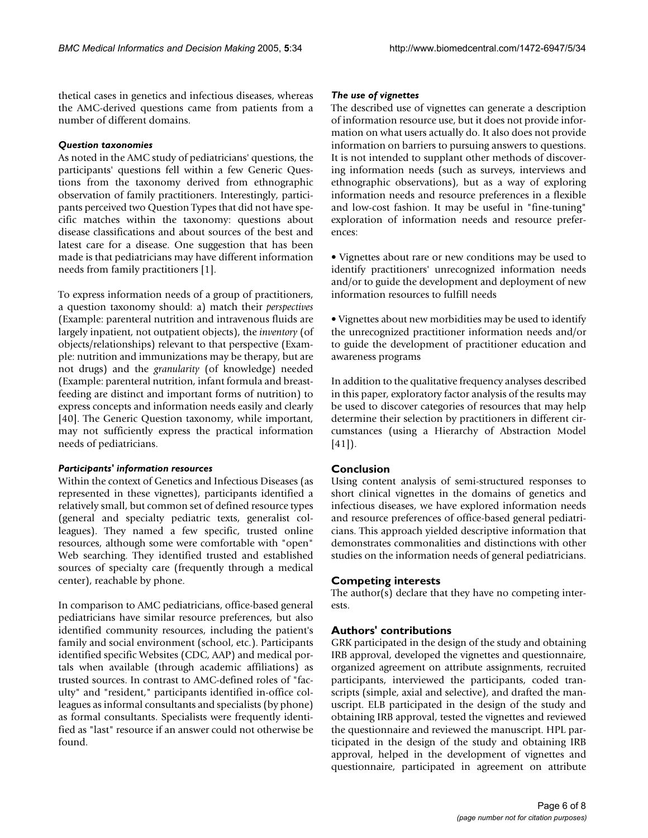thetical cases in genetics and infectious diseases, whereas the AMC-derived questions came from patients from a number of different domains.

#### *Question taxonomies*

As noted in the AMC study of pediatricians' questions, the participants' questions fell within a few Generic Questions from the taxonomy derived from ethnographic observation of family practitioners. Interestingly, participants perceived two Question Types that did not have specific matches within the taxonomy: questions about disease classifications and about sources of the best and latest care for a disease. One suggestion that has been made is that pediatricians may have different information needs from family practitioners [1].

To express information needs of a group of practitioners, a question taxonomy should: a) match their *perspectives* (Example: parenteral nutrition and intravenous fluids are largely inpatient, not outpatient objects), the *inventory* (of objects/relationships) relevant to that perspective (Example: nutrition and immunizations may be therapy, but are not drugs) and the *granularity* (of knowledge) needed (Example: parenteral nutrition, infant formula and breastfeeding are distinct and important forms of nutrition) to express concepts and information needs easily and clearly [40]. The Generic Question taxonomy, while important, may not sufficiently express the practical information needs of pediatricians.

#### *Participants' information resources*

Within the context of Genetics and Infectious Diseases (as represented in these vignettes), participants identified a relatively small, but common set of defined resource types (general and specialty pediatric texts, generalist colleagues). They named a few specific, trusted online resources, although some were comfortable with "open" Web searching. They identified trusted and established sources of specialty care (frequently through a medical center), reachable by phone.

In comparison to AMC pediatricians, office-based general pediatricians have similar resource preferences, but also identified community resources, including the patient's family and social environment (school, etc.). Participants identified specific Websites (CDC, AAP) and medical portals when available (through academic affiliations) as trusted sources. In contrast to AMC-defined roles of "faculty" and "resident," participants identified in-office colleagues as informal consultants and specialists (by phone) as formal consultants. Specialists were frequently identified as "last" resource if an answer could not otherwise be found.

#### *The use of vignettes*

The described use of vignettes can generate a description of information resource use, but it does not provide information on what users actually do. It also does not provide information on barriers to pursuing answers to questions. It is not intended to supplant other methods of discovering information needs (such as surveys, interviews and ethnographic observations), but as a way of exploring information needs and resource preferences in a flexible and low-cost fashion. It may be useful in "fine-tuning" exploration of information needs and resource preferences:

• Vignettes about rare or new conditions may be used to identify practitioners' unrecognized information needs and/or to guide the development and deployment of new information resources to fulfill needs

• Vignettes about new morbidities may be used to identify the unrecognized practitioner information needs and/or to guide the development of practitioner education and awareness programs

In addition to the qualitative frequency analyses described in this paper, exploratory factor analysis of the results may be used to discover categories of resources that may help determine their selection by practitioners in different circumstances (using a Hierarchy of Abstraction Model [41]).

## **Conclusion**

Using content analysis of semi-structured responses to short clinical vignettes in the domains of genetics and infectious diseases, we have explored information needs and resource preferences of office-based general pediatricians. This approach yielded descriptive information that demonstrates commonalities and distinctions with other studies on the information needs of general pediatricians.

## **Competing interests**

The author(s) declare that they have no competing interests.

## **Authors' contributions**

GRK participated in the design of the study and obtaining IRB approval, developed the vignettes and questionnaire, organized agreement on attribute assignments, recruited participants, interviewed the participants, coded transcripts (simple, axial and selective), and drafted the manuscript. ELB participated in the design of the study and obtaining IRB approval, tested the vignettes and reviewed the questionnaire and reviewed the manuscript. HPL participated in the design of the study and obtaining IRB approval, helped in the development of vignettes and questionnaire, participated in agreement on attribute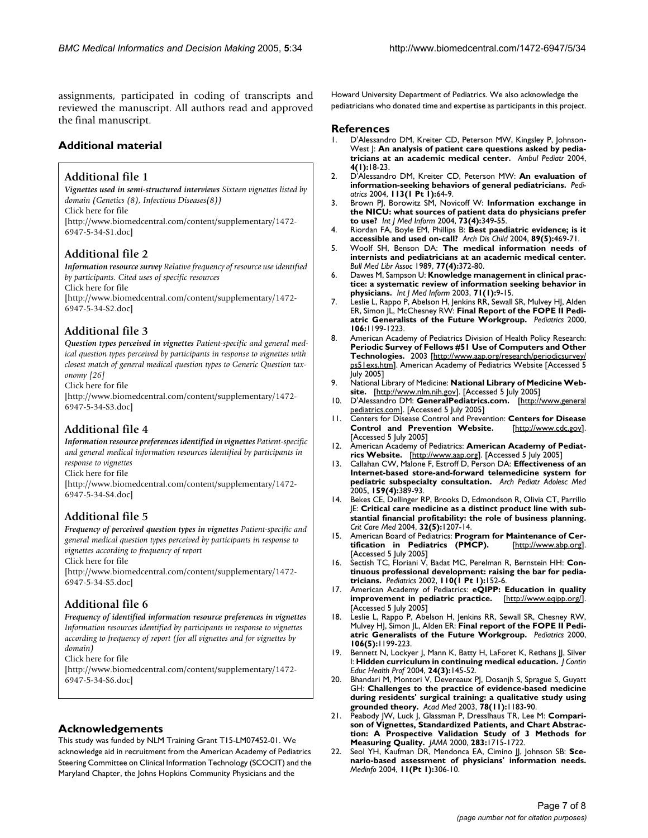assignments, participated in coding of transcripts and reviewed the manuscript. All authors read and approved the final manuscript.

# **Additional material**

## **Additional file 1**

*Vignettes used in semi-structured interviews Sixteen vignettes listed by domain (Genetics (8), Infectious Diseases(8))* Click here for file [\[http://www.biomedcentral.com/content/supplementary/1472-](http://www.biomedcentral.com/content/supplementary/1472-6947-5-34-S1.doc) 6947-5-34-S1.doc]

## **Additional file 2**

*Information resource survey Relative frequency of resource use identified by participants. Cited uses of specific resources* Click here for file [\[http://www.biomedcentral.com/content/supplementary/1472-](http://www.biomedcentral.com/content/supplementary/1472-6947-5-34-S2.doc) 6947-5-34-S2.doc]

## **Additional file 3**

*Question types perceived in vignettes Patient-specific and general medical question types perceived by participants in response to vignettes with closest match of general medical question types to Generic Question taxonomy [26]*

Click here for file

[\[http://www.biomedcentral.com/content/supplementary/1472-](http://www.biomedcentral.com/content/supplementary/1472-6947-5-34-S3.doc) 6947-5-34-S3.doc]

# **Additional file 4**

*Information resource preferences identified in vignettes Patient-specific and general medical information resources identified by participants in response to vignettes* Click here for file

[\[http://www.biomedcentral.com/content/supplementary/1472-](http://www.biomedcentral.com/content/supplementary/1472-6947-5-34-S4.doc) 6947-5-34-S4.doc]

# **Additional file 5**

*Frequency of perceived question types in vignettes Patient-specific and general medical question types perceived by participants in response to vignettes according to frequency of report*

Click here for file

[\[http://www.biomedcentral.com/content/supplementary/1472-](http://www.biomedcentral.com/content/supplementary/1472-6947-5-34-S5.doc) 6947-5-34-S5.doc]

## **Additional file 6**

*Frequency of identified information resource preferences in vignettes Information resources identified by participants in response to vignettes according to frequency of report (for all vignettes and for vignettes by domain)*

Click here for file

[\[http://www.biomedcentral.com/content/supplementary/1472-](http://www.biomedcentral.com/content/supplementary/1472-6947-5-34-S6.doc) 6947-5-34-S6.doc]

## **Acknowledgements**

This study was funded by NLM Training Grant T15-LM07452-01. We acknowledge aid in recruitment from the American Academy of Pediatrics Steering Committee on Clinical Information Technology (SCOCIT) and the Maryland Chapter, the Johns Hopkins Community Physicians and the

Howard University Department of Pediatrics. We also acknowledge the pediatricians who donated time and expertise as participants in this project.

#### **References**

- 1. D'Alessandro DM, Kreiter CD, Peterson MW, Kingsley P, Johnson-West J: **[An analysis of patient care questions asked by pedia](http://www.ncbi.nlm.nih.gov/entrez/query.fcgi?cmd=Retrieve&db=PubMed&dopt=Abstract&list_uids=14731097)[tricians at an academic medical center.](http://www.ncbi.nlm.nih.gov/entrez/query.fcgi?cmd=Retrieve&db=PubMed&dopt=Abstract&list_uids=14731097)** *Ambul Pediatr* 2004, **4(1):**18-23.
- 2. D'Alessandro DM, Kreiter CD, Peterson MW: **[An evaluation of](http://www.ncbi.nlm.nih.gov/entrez/query.fcgi?cmd=Retrieve&db=PubMed&dopt=Abstract&list_uids=14702450) [information-seeking behaviors of general pediatricians.](http://www.ncbi.nlm.nih.gov/entrez/query.fcgi?cmd=Retrieve&db=PubMed&dopt=Abstract&list_uids=14702450)** *Pediatrics* 2004, **113(1 Pt 1):**64-9.
- 3. Brown PJ, Borowitz SM, Novicoff W: **[Information exchange in](http://www.ncbi.nlm.nih.gov/entrez/query.fcgi?cmd=Retrieve&db=PubMed&dopt=Abstract&list_uids=15135753) [the NICU: what sources of patient data do physicians prefer](http://www.ncbi.nlm.nih.gov/entrez/query.fcgi?cmd=Retrieve&db=PubMed&dopt=Abstract&list_uids=15135753) [to use?](http://www.ncbi.nlm.nih.gov/entrez/query.fcgi?cmd=Retrieve&db=PubMed&dopt=Abstract&list_uids=15135753)** *Int J Med Inform* 2004, **73(4):**349-55.
- 4. Riordan FA, Boyle EM, Phillips B: **[Best paediatric evidence; is it](http://www.ncbi.nlm.nih.gov/entrez/query.fcgi?cmd=Retrieve&db=PubMed&dopt=Abstract&list_uids=15102644) [accessible and used on-call?](http://www.ncbi.nlm.nih.gov/entrez/query.fcgi?cmd=Retrieve&db=PubMed&dopt=Abstract&list_uids=15102644)** *Arch Dis Child* 2004, **89(5):**469-71.
- 5. Woolf SH, Benson DA: **[The medical information needs of](http://www.ncbi.nlm.nih.gov/entrez/query.fcgi?cmd=Retrieve&db=PubMed&dopt=Abstract&list_uids=2790344) [internists and pediatricians at an academic medical center.](http://www.ncbi.nlm.nih.gov/entrez/query.fcgi?cmd=Retrieve&db=PubMed&dopt=Abstract&list_uids=2790344)** *Bull Med Libr Assoc* 1989, **77(4):**372-80.
- 6. Dawes M, Sampson U: **[Knowledge management in clinical prac](http://www.ncbi.nlm.nih.gov/entrez/query.fcgi?cmd=Retrieve&db=PubMed&dopt=Abstract&list_uids=12909153)[tice: a systematic review of information seeking behavior in](http://www.ncbi.nlm.nih.gov/entrez/query.fcgi?cmd=Retrieve&db=PubMed&dopt=Abstract&list_uids=12909153) [physicians.](http://www.ncbi.nlm.nih.gov/entrez/query.fcgi?cmd=Retrieve&db=PubMed&dopt=Abstract&list_uids=12909153)** *Int J Med Inform* 2003, **71(1):**9-15.
- 7. Leslie L, Rappo P, Abelson H, Jenkins RR, Sewall SR, Mulvey HJ, Alden ER, Simon JL, McChesney RW: **[Final Report of the FOPE II Pedi](http://www.ncbi.nlm.nih.gov/entrez/query.fcgi?cmd=Retrieve&db=PubMed&dopt=Abstract&list_uids=11073552)[atric Generalists of the Future Workgroup.](http://www.ncbi.nlm.nih.gov/entrez/query.fcgi?cmd=Retrieve&db=PubMed&dopt=Abstract&list_uids=11073552)** *Pediatrics* 2000, **106:**1199-1223.
- 8. American Academy of Pediatrics Division of Health Policy Research: **Periodic Survey of Fellows #51 Use of Computers and Other Technologies.** 2003 [[http://www.aap.org/research/periodicsurvey/](http://www.aap.org/research/periodicsurvey/ps51exs.htm) [ps51exs.htm\]](http://www.aap.org/research/periodicsurvey/ps51exs.htm). American Academy of Pediatrics Website [Accessed 5 July 2005]
- 9. National Library of Medicine: **National Library of Medicine Web**site. [[http://www.nlm.nih.gov\]](http://www.nlm.nih.gov). [Accessed 5 July 2005]
- 10. D'Alessandro DM: **GeneralPediatrics.com.** [\[http://www.general](http://www.generalpediatrics.com) [pediatrics.com](http://www.generalpediatrics.com)]. [Accessed 5 July 2005]
- 11. Centers for Disease Control and Prevention: **Centers for Disease** Control and Prevention Website. [[http://www.cdc.gov\]](http://www.cdc.gov). [Accessed 5 July 2005]
- 12. American Academy of Pediatrics: **American Academy of Pediatrics Website.** [[http://www.aap.org\]](http://www.aap.org). [Accessed 5 July 2005]
- 13. Callahan CW, Malone F, Estroff D, Person DA: **[Effectiveness of an](http://www.ncbi.nlm.nih.gov/entrez/query.fcgi?cmd=Retrieve&db=PubMed&dopt=Abstract&list_uids=15809396) [Internet-based store-and-forward telemedicine system for](http://www.ncbi.nlm.nih.gov/entrez/query.fcgi?cmd=Retrieve&db=PubMed&dopt=Abstract&list_uids=15809396) [pediatric subspecialty consultation.](http://www.ncbi.nlm.nih.gov/entrez/query.fcgi?cmd=Retrieve&db=PubMed&dopt=Abstract&list_uids=15809396)** *Arch Pediatr Adolesc Med* 2005, **159(4):**389-93.
- 14. Bekes CE, Dellinger RP, Brooks D, Edmondson R, Olivia CT, Parrillo JE: **[Critical care medicine as a distinct product line with sub](http://www.ncbi.nlm.nih.gov/entrez/query.fcgi?cmd=Retrieve&db=PubMed&dopt=Abstract&list_uids=15190974)[stantial financial profitability: the role of business planning.](http://www.ncbi.nlm.nih.gov/entrez/query.fcgi?cmd=Retrieve&db=PubMed&dopt=Abstract&list_uids=15190974)** *Crit Care Med* 2004, **32(5):**1207-14.
- 15. American Board of Pediatrics: **Program for Maintenance of Cer-**<br> **tification in Pediatrics (PMCP).** [http://www.abp.org]. tification in Pediatrics (PMCP). [Accessed 5 July 2005]
- 16. Sectish TC, Floriani V, Badat MC, Perelman R, Bernstein HH: **[Con](http://www.ncbi.nlm.nih.gov/entrez/query.fcgi?cmd=Retrieve&db=PubMed&dopt=Abstract&list_uids=12093961)[tinuous professional development: raising the bar for pedia](http://www.ncbi.nlm.nih.gov/entrez/query.fcgi?cmd=Retrieve&db=PubMed&dopt=Abstract&list_uids=12093961)[tricians.](http://www.ncbi.nlm.nih.gov/entrez/query.fcgi?cmd=Retrieve&db=PubMed&dopt=Abstract&list_uids=12093961)** *Pediatrics* 2002, **110(1 Pt 1):**152-6.
- 17. American Academy of Pediatrics: **eQIPP: Education in quality improvement in pediatric practice.** [[http://www.eqipp.org/\]](http://www.eqipp.org/). [Accessed 5 July 2005]
- 18. Leslie L, Rappo P, Abelson H, Jenkins RR, Sewall SR, Chesney RW, Mulvey HJ, Simon JL, Alden ER: **[Final report of the FOPE II Pedi](http://www.ncbi.nlm.nih.gov/entrez/query.fcgi?cmd=Retrieve&db=PubMed&dopt=Abstract&list_uids=11073552)[atric Generalists of the Future Workgroup.](http://www.ncbi.nlm.nih.gov/entrez/query.fcgi?cmd=Retrieve&db=PubMed&dopt=Abstract&list_uids=11073552)** *Pediatrics* 2000, **106(5):**1199-223.
- 19. Bennett N, Lockyer J, Mann K, Batty H, LaForet K, Rethans JJ, Silver I: **[Hidden curriculum in continuing medical education.](http://www.ncbi.nlm.nih.gov/entrez/query.fcgi?cmd=Retrieve&db=PubMed&dopt=Abstract&list_uids=15490546)** *J Contin Educ Health Prof* 2004, **24(3):**145-52.
- 20. Bhandari M, Montori V, Devereaux PJ, Dosanjh S, Sprague S, Guyatt GH: **[Challenges to the practice of evidence-based medicine](http://www.ncbi.nlm.nih.gov/entrez/query.fcgi?cmd=Retrieve&db=PubMed&dopt=Abstract&list_uids=14604884) [during residents' surgical training: a qualitative study using](http://www.ncbi.nlm.nih.gov/entrez/query.fcgi?cmd=Retrieve&db=PubMed&dopt=Abstract&list_uids=14604884) [grounded theory.](http://www.ncbi.nlm.nih.gov/entrez/query.fcgi?cmd=Retrieve&db=PubMed&dopt=Abstract&list_uids=14604884)** *Acad Med* 2003, **78(11):**1183-90.
- 21. Peabody JW, Luck J, Glassman P, Dresslhaus TR, Lee M: **[Compari](http://www.ncbi.nlm.nih.gov/entrez/query.fcgi?cmd=Retrieve&db=PubMed&dopt=Abstract&list_uids=10755498)son of Vignettes, Standardized Patients, and Chart Abstrac[tion: A Prospective Validation Study of 3 Methods for](http://www.ncbi.nlm.nih.gov/entrez/query.fcgi?cmd=Retrieve&db=PubMed&dopt=Abstract&list_uids=10755498) [Measuring Quality.](http://www.ncbi.nlm.nih.gov/entrez/query.fcgi?cmd=Retrieve&db=PubMed&dopt=Abstract&list_uids=10755498)** *JAMA* 2000, **283:**1715-1722.
- 22. Seol YH, Kaufman DR, Mendonca EA, Cimino JJ, Johnson SB: **[Sce](http://www.ncbi.nlm.nih.gov/entrez/query.fcgi?cmd=Retrieve&db=PubMed&dopt=Abstract&list_uids=15360824)[nario-based assessment of physicians' information needs.](http://www.ncbi.nlm.nih.gov/entrez/query.fcgi?cmd=Retrieve&db=PubMed&dopt=Abstract&list_uids=15360824)** *Medinfo* 2004, **11(Pt 1):**306-10.